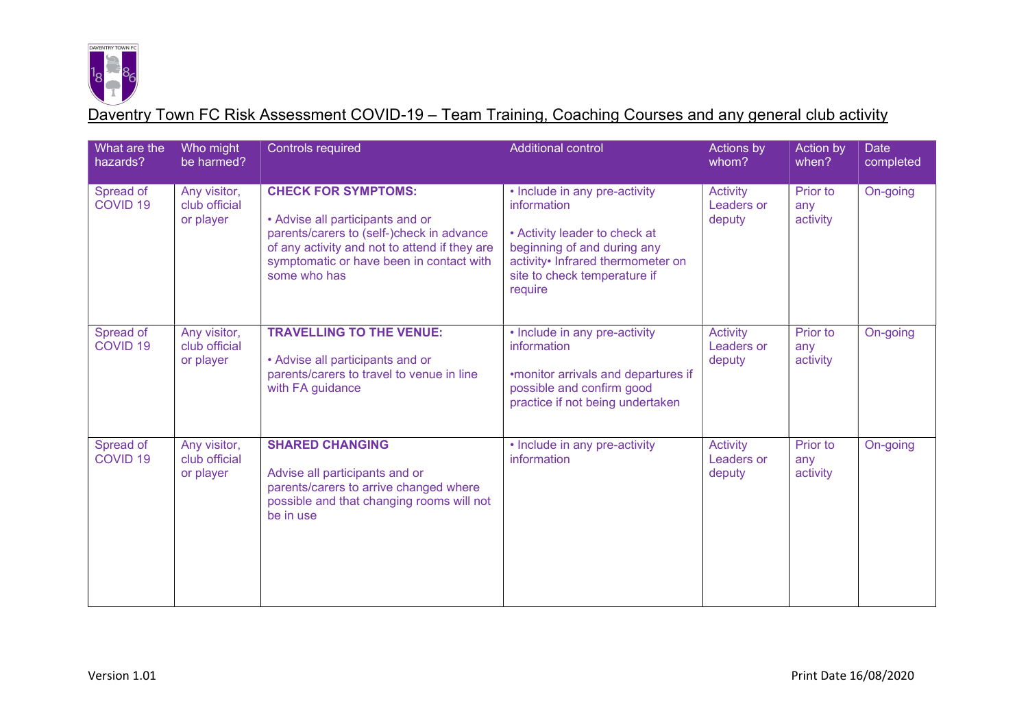

| What are the<br>hazards?         | Who might<br>be harmed?                    | <b>Controls required</b>                                                                                                                                                                                                 | <b>Additional control</b>                                                                                                                                                                    | Actions by<br>whom?                     | Action by<br>when?          | <b>Date</b><br>completed |
|----------------------------------|--------------------------------------------|--------------------------------------------------------------------------------------------------------------------------------------------------------------------------------------------------------------------------|----------------------------------------------------------------------------------------------------------------------------------------------------------------------------------------------|-----------------------------------------|-----------------------------|--------------------------|
| Spread of<br>COVID <sub>19</sub> | Any visitor,<br>club official<br>or player | <b>CHECK FOR SYMPTOMS:</b><br>• Advise all participants and or<br>parents/carers to (self-)check in advance<br>of any activity and not to attend if they are<br>symptomatic or have been in contact with<br>some who has | • Include in any pre-activity<br>information<br>• Activity leader to check at<br>beginning of and during any<br>activity• Infrared thermometer on<br>site to check temperature if<br>require | <b>Activity</b><br>Leaders or<br>deputy | Prior to<br>any<br>activity | On-going                 |
| Spread of<br><b>COVID 19</b>     | Any visitor,<br>club official<br>or player | <b>TRAVELLING TO THE VENUE:</b><br>• Advise all participants and or<br>parents/carers to travel to venue in line<br>with FA guidance                                                                                     | • Include in any pre-activity<br>information<br>•monitor arrivals and departures if<br>possible and confirm good<br>practice if not being undertaken                                         | Activity<br>Leaders or<br>deputy        | Prior to<br>any<br>activity | On-going                 |
| Spread of<br>COVID <sub>19</sub> | Any visitor,<br>club official<br>or player | <b>SHARED CHANGING</b><br>Advise all participants and or<br>parents/carers to arrive changed where<br>possible and that changing rooms will not<br>be in use                                                             | • Include in any pre-activity<br>information                                                                                                                                                 | <b>Activity</b><br>Leaders or<br>deputy | Prior to<br>any<br>activity | On-going                 |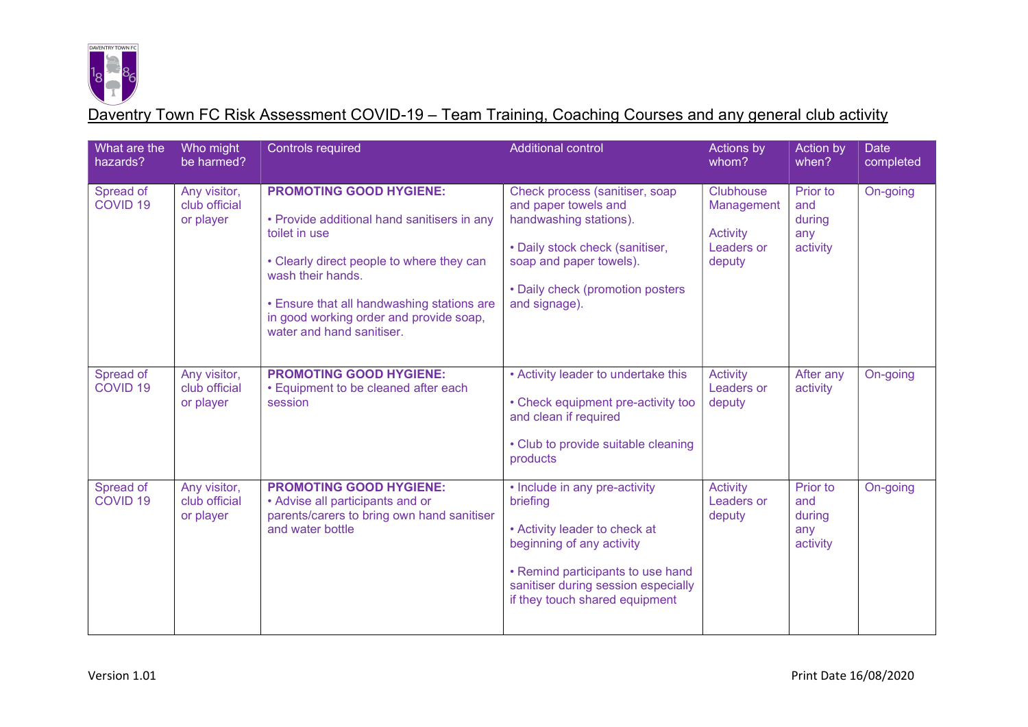

| What are the<br>hazards?         | Who might<br>be harmed?                    | <b>Controls required</b>                                                                                                                                                                                                                                                               | <b>Additional control</b>                                                                                                                                                                                             | Actions by<br>whom?                                                       | Action by<br>when?                           | <b>Date</b><br>completed |
|----------------------------------|--------------------------------------------|----------------------------------------------------------------------------------------------------------------------------------------------------------------------------------------------------------------------------------------------------------------------------------------|-----------------------------------------------------------------------------------------------------------------------------------------------------------------------------------------------------------------------|---------------------------------------------------------------------------|----------------------------------------------|--------------------------|
| Spread of<br>COVID <sub>19</sub> | Any visitor,<br>club official<br>or player | <b>PROMOTING GOOD HYGIENE:</b><br>• Provide additional hand sanitisers in any<br>toilet in use<br>• Clearly direct people to where they can<br>wash their hands.<br>• Ensure that all handwashing stations are<br>in good working order and provide soap,<br>water and hand sanitiser. | Check process (sanitiser, soap<br>and paper towels and<br>handwashing stations).<br>• Daily stock check (sanitiser,<br>soap and paper towels).<br>• Daily check (promotion posters<br>and signage).                   | <b>Clubhouse</b><br>Management<br>Activity<br><b>Leaders or</b><br>deputy | Prior to<br>and<br>during<br>any<br>activity | On-going                 |
| Spread of<br>COVID <sub>19</sub> | Any visitor,<br>club official<br>or player | <b>PROMOTING GOOD HYGIENE:</b><br>• Equipment to be cleaned after each<br>session                                                                                                                                                                                                      | • Activity leader to undertake this<br>• Check equipment pre-activity too<br>and clean if required<br>• Club to provide suitable cleaning<br>products                                                                 | <b>Activity</b><br>Leaders or<br>deputy                                   | After any<br>activity                        | On-going                 |
| Spread of<br>COVID <sub>19</sub> | Any visitor,<br>club official<br>or player | <b>PROMOTING GOOD HYGIENE:</b><br>• Advise all participants and or<br>parents/carers to bring own hand sanitiser<br>and water bottle                                                                                                                                                   | • Include in any pre-activity<br>briefing<br>• Activity leader to check at<br>beginning of any activity<br>• Remind participants to use hand<br>sanitiser during session especially<br>if they touch shared equipment | <b>Activity</b><br>Leaders or<br>deputy                                   | Prior to<br>and<br>during<br>any<br>activity | On-going                 |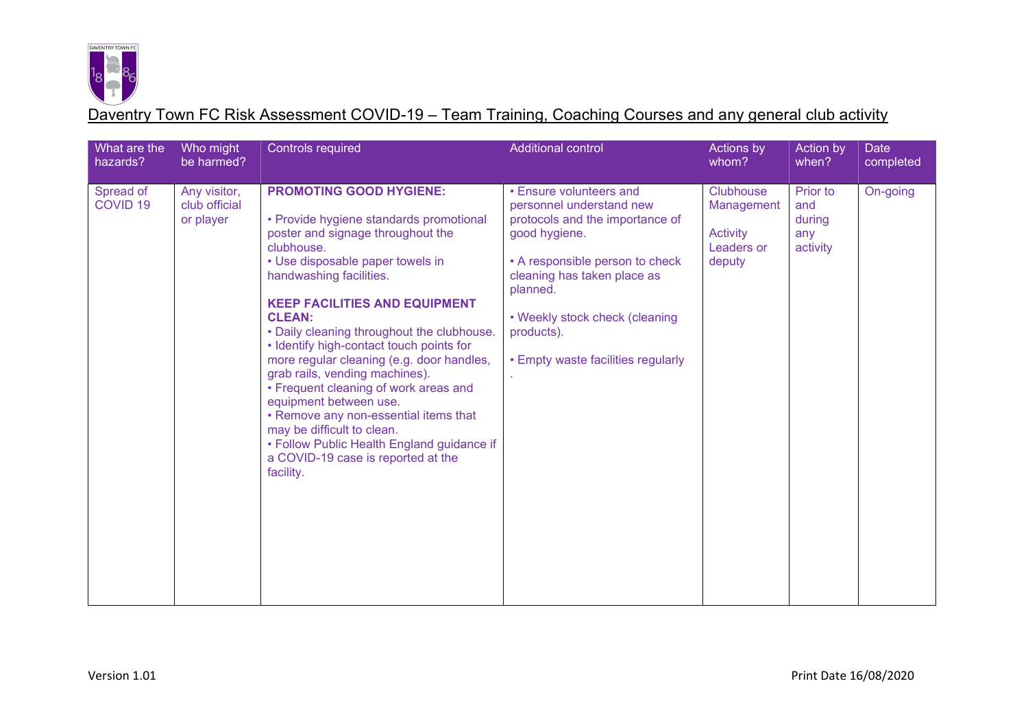

| What are the<br>hazards?         | Who might<br>be harmed?                    | <b>Controls required</b>                                                                                                                                                                                                                                                                                                                                                                                                                                                                                                                                                                                                                                                 | <b>Additional control</b>                                                                                                                                                                                                                                                   | Actions by<br>whom?                                         | Action by<br>when?                           | <b>Date</b><br>completed |
|----------------------------------|--------------------------------------------|--------------------------------------------------------------------------------------------------------------------------------------------------------------------------------------------------------------------------------------------------------------------------------------------------------------------------------------------------------------------------------------------------------------------------------------------------------------------------------------------------------------------------------------------------------------------------------------------------------------------------------------------------------------------------|-----------------------------------------------------------------------------------------------------------------------------------------------------------------------------------------------------------------------------------------------------------------------------|-------------------------------------------------------------|----------------------------------------------|--------------------------|
| Spread of<br>COVID <sub>19</sub> | Any visitor,<br>club official<br>or player | <b>PROMOTING GOOD HYGIENE:</b><br>• Provide hygiene standards promotional<br>poster and signage throughout the<br>clubhouse.<br>• Use disposable paper towels in<br>handwashing facilities.<br><b>KEEP FACILITIES AND EQUIPMENT</b><br><b>CLEAN:</b><br>• Daily cleaning throughout the clubhouse.<br>• Identify high-contact touch points for<br>more regular cleaning (e.g. door handles,<br>grab rails, vending machines).<br>• Frequent cleaning of work areas and<br>equipment between use.<br>• Remove any non-essential items that<br>may be difficult to clean.<br>• Follow Public Health England guidance if<br>a COVID-19 case is reported at the<br>facility. | • Ensure volunteers and<br>personnel understand new<br>protocols and the importance of<br>good hygiene.<br>• A responsible person to check<br>cleaning has taken place as<br>planned.<br>• Weekly stock check (cleaning<br>products).<br>• Empty waste facilities regularly | Clubhouse<br>Management<br>Activity<br>Leaders or<br>deputy | Prior to<br>and<br>during<br>any<br>activity | On-going                 |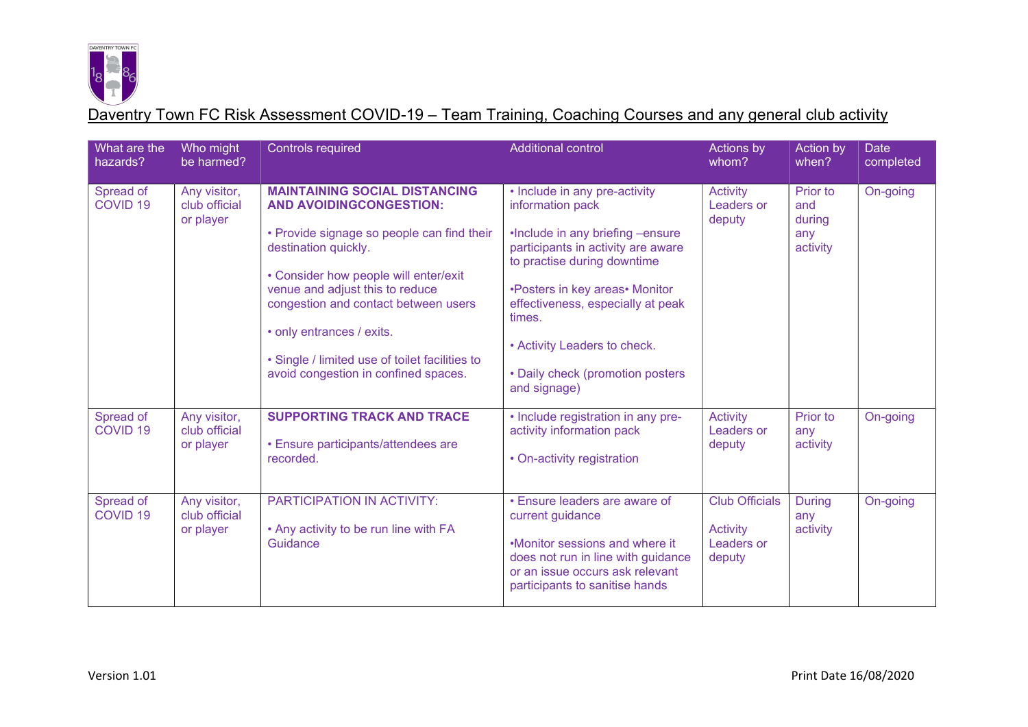

| What are the<br>hazards?         | Who might<br>be harmed?                    | <b>Controls required</b>                                                                                                                                                                                                                                                                                                                                                                | <b>Additional control</b>                                                                                                                                                                                                                                                                                                       | <b>Actions by</b><br>whom?                                       | Action by<br>when?                           | <b>Date</b><br>completed |
|----------------------------------|--------------------------------------------|-----------------------------------------------------------------------------------------------------------------------------------------------------------------------------------------------------------------------------------------------------------------------------------------------------------------------------------------------------------------------------------------|---------------------------------------------------------------------------------------------------------------------------------------------------------------------------------------------------------------------------------------------------------------------------------------------------------------------------------|------------------------------------------------------------------|----------------------------------------------|--------------------------|
| Spread of<br>COVID <sub>19</sub> | Any visitor,<br>club official<br>or player | <b>MAINTAINING SOCIAL DISTANCING</b><br><b>AND AVOIDINGCONGESTION:</b><br>• Provide signage so people can find their<br>destination quickly.<br>• Consider how people will enter/exit<br>venue and adjust this to reduce<br>congestion and contact between users<br>• only entrances / exits.<br>• Single / limited use of toilet facilities to<br>avoid congestion in confined spaces. | • Include in any pre-activity<br>information pack<br>.Include in any briefing -ensure<br>participants in activity are aware<br>to practise during downtime<br>•Posters in key areas• Monitor<br>effectiveness, especially at peak<br>times.<br>• Activity Leaders to check.<br>• Daily check (promotion posters<br>and signage) | <b>Activity</b><br>Leaders or<br>deputy                          | Prior to<br>and<br>during<br>any<br>activity | On-going                 |
| Spread of<br>COVID <sub>19</sub> | Any visitor,<br>club official<br>or player | <b>SUPPORTING TRACK AND TRACE</b><br>• Ensure participants/attendees are<br>recorded.                                                                                                                                                                                                                                                                                                   | • Include registration in any pre-<br>activity information pack<br>• On-activity registration                                                                                                                                                                                                                                   | <b>Activity</b><br>Leaders or<br>deputy                          | Prior to<br>any<br>activity                  | On-going                 |
| Spread of<br>COVID <sub>19</sub> | Any visitor,<br>club official<br>or player | PARTICIPATION IN ACTIVITY:<br>• Any activity to be run line with FA<br>Guidance                                                                                                                                                                                                                                                                                                         | • Ensure leaders are aware of<br>current guidance<br>•Monitor sessions and where it<br>does not run in line with guidance<br>or an issue occurs ask relevant<br>participants to sanitise hands                                                                                                                                  | <b>Club Officials</b><br><b>Activity</b><br>Leaders or<br>deputy | <b>During</b><br>any<br>activity             | On-going                 |